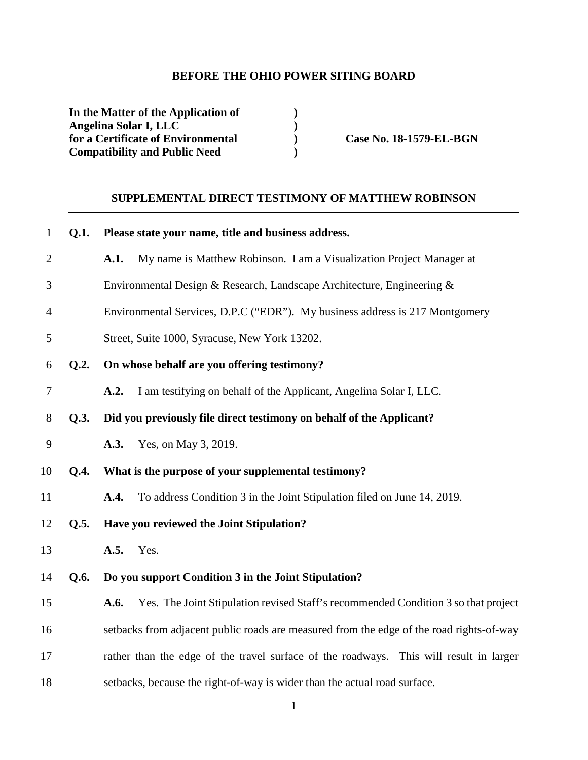### **BEFORE THE OHIO POWER SITING BOARD**

**In the Matter of the Application of ) Angelina Solar I, LLC** (**p** ) **o for a Certificate of Environmental** (**p** ) for a Certificate of Environmental **Case No. 18-1579-EL-BGN Compatibility and Public Need )** 

# **SUPPLEMENTAL DIRECT TESTIMONY OF MATTHEW ROBINSON**

| $\mathbf{1}$   | Q.1. | Please state your name, title and business address.                                        |
|----------------|------|--------------------------------------------------------------------------------------------|
| $\overline{2}$ |      | My name is Matthew Robinson. I am a Visualization Project Manager at<br>A.1.               |
| 3              |      | Environmental Design & Research, Landscape Architecture, Engineering &                     |
| $\overline{4}$ |      | Environmental Services, D.P.C ("EDR"). My business address is 217 Montgomery               |
| 5              |      | Street, Suite 1000, Syracuse, New York 13202.                                              |
| 6              | Q.2. | On whose behalf are you offering testimony?                                                |
| $\tau$         |      | A.2.<br>I am testifying on behalf of the Applicant, Angelina Solar I, LLC.                 |
| $8\,$          | Q.3. | Did you previously file direct testimony on behalf of the Applicant?                       |
| 9              |      | A.3.<br>Yes, on May 3, 2019.                                                               |
| 10             | Q.4. | What is the purpose of your supplemental testimony?                                        |
| 11             |      | To address Condition 3 in the Joint Stipulation filed on June 14, 2019.<br>A.4.            |
| 12             | Q.5. | Have you reviewed the Joint Stipulation?                                                   |
| 13             |      | A.5.<br>Yes.                                                                               |
| 14             | Q.6. | Do you support Condition 3 in the Joint Stipulation?                                       |
| 15             |      | Yes. The Joint Stipulation revised Staff's recommended Condition 3 so that project<br>A.6. |
| 16             |      | setbacks from adjacent public roads are measured from the edge of the road rights-of-way   |
| 17             |      | rather than the edge of the travel surface of the roadways. This will result in larger     |
| 18             |      | setbacks, because the right-of-way is wider than the actual road surface.                  |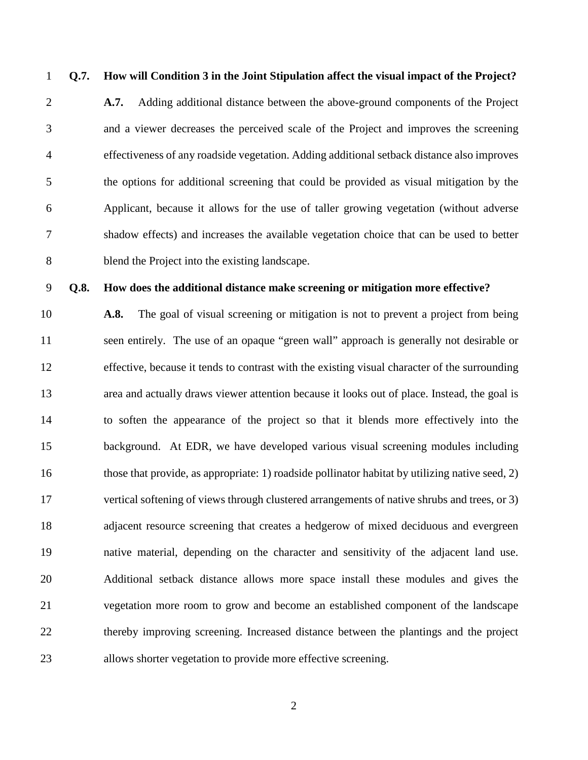## 1 **Q.7. How will Condition 3 in the Joint Stipulation affect the visual impact of the Project?**

2 **A.7.** Adding additional distance between the above-ground components of the Project 3 and a viewer decreases the perceived scale of the Project and improves the screening 4 effectiveness of any roadside vegetation. Adding additional setback distance also improves 5 the options for additional screening that could be provided as visual mitigation by the 6 Applicant, because it allows for the use of taller growing vegetation (without adverse 7 shadow effects) and increases the available vegetation choice that can be used to better 8 blend the Project into the existing landscape.

#### 9 **Q.8. How does the additional distance make screening or mitigation more effective?**

10 **A.8.** The goal of visual screening or mitigation is not to prevent a project from being 11 seen entirely. The use of an opaque "green wall" approach is generally not desirable or 12 effective, because it tends to contrast with the existing visual character of the surrounding 13 area and actually draws viewer attention because it looks out of place. Instead, the goal is 14 to soften the appearance of the project so that it blends more effectively into the 15 background. At EDR, we have developed various visual screening modules including 16 those that provide, as appropriate: 1) roadside pollinator habitat by utilizing native seed, 2) 17 vertical softening of views through clustered arrangements of native shrubs and trees, or 3) 18 adjacent resource screening that creates a hedgerow of mixed deciduous and evergreen 19 native material, depending on the character and sensitivity of the adjacent land use. 20 Additional setback distance allows more space install these modules and gives the 21 vegetation more room to grow and become an established component of the landscape 22 thereby improving screening. Increased distance between the plantings and the project 23 allows shorter vegetation to provide more effective screening.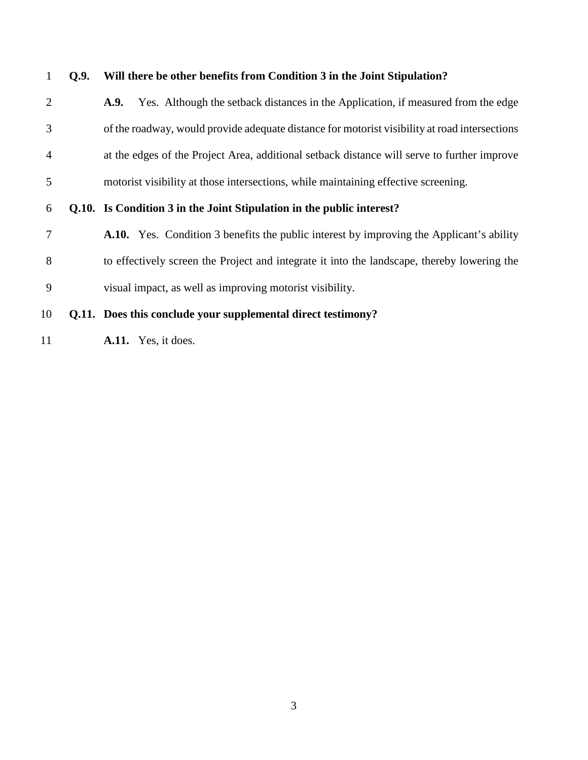1 **Q.9. Will there be other benefits from Condition 3 in the Joint Stipulation?**  2 **A.9.** Yes. Although the setback distances in the Application, if measured from the edge 3 of the roadway, would provide adequate distance for motorist visibility at road intersections 4 at the edges of the Project Area, additional setback distance will serve to further improve 5 motorist visibility at those intersections, while maintaining effective screening. 6 **Q.10. Is Condition 3 in the Joint Stipulation in the public interest?** 7 **A.10.** Yes. Condition 3 benefits the public interest by improving the Applicant's ability 8 to effectively screen the Project and integrate it into the landscape, thereby lowering the 9 visual impact, as well as improving motorist visibility. 10 **Q.11. Does this conclude your supplemental direct testimony?** 

11 **A.11.** Yes, it does.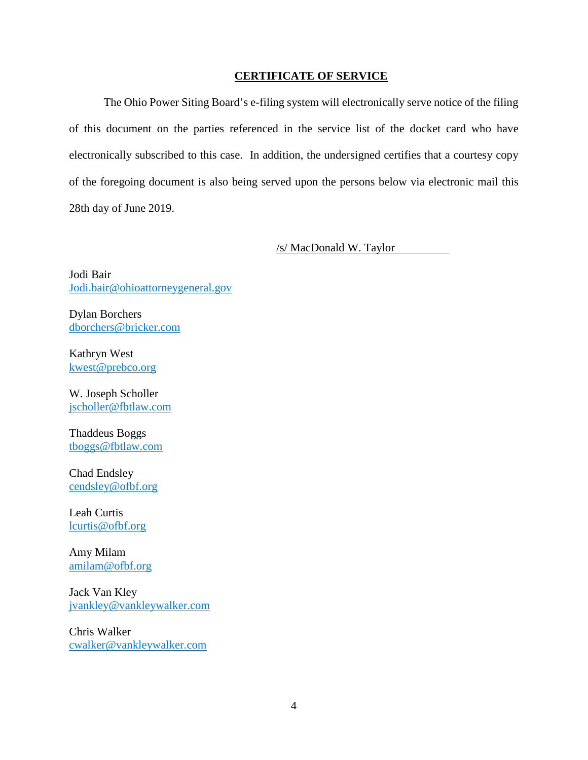### **CERTIFICATE OF SERVICE**

The Ohio Power Siting Board's e-filing system will electronically serve notice of the filing of this document on the parties referenced in the service list of the docket card who have electronically subscribed to this case. In addition, the undersigned certifies that a courtesy copy of the foregoing document is also being served upon the persons below via electronic mail this 28th day of June 2019.

/s/ MacDonald W. Taylor

Jodi Bair Jodi.bair@ohioattorneygeneral.gov

Dylan Borchers dborchers@bricker.com

Kathryn West kwest@prebco.org

W. Joseph Scholler jscholler@fbtlaw.com

Thaddeus Boggs tboggs@fbtlaw.com

Chad Endsley cendsley@ofbf.org

Leah Curtis lcurtis@ofbf.org

Amy Milam amilam@ofbf.org

Jack Van Kley jvankley@vankleywalker.com

Chris Walker cwalker@vankleywalker.com